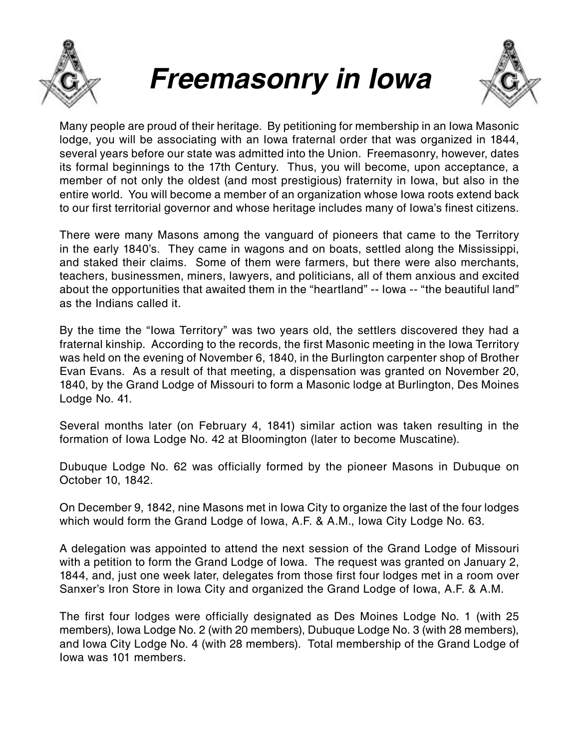

## *Freemasonry in Iowa*



Many people are proud of their heritage. By petitioning for membership in an Iowa Masonic lodge, you will be associating with an Iowa fraternal order that was organized in 1844, several years before our state was admitted into the Union. Freemasonry, however, dates its formal beginnings to the 17th Century. Thus, you will become, upon acceptance, a member of not only the oldest (and most prestigious) fraternity in Iowa, but also in the entire world. You will become a member of an organization whose Iowa roots extend back to our first territorial governor and whose heritage includes many of Iowa's finest citizens.

There were many Masons among the vanguard of pioneers that came to the Territory in the early 1840's. They came in wagons and on boats, settled along the Mississippi, and staked their claims. Some of them were farmers, but there were also merchants, teachers, businessmen, miners, lawyers, and politicians, all of them anxious and excited about the opportunities that awaited them in the "heartland" -- Iowa -- "the beautiful land" as the Indians called it.

By the time the "Iowa Territory" was two years old, the settlers discovered they had a fraternal kinship. According to the records, the first Masonic meeting in the Iowa Territory was held on the evening of November 6, 1840, in the Burlington carpenter shop of Brother Evan Evans. As a result of that meeting, a dispensation was granted on November 20, 1840, by the Grand Lodge of Missouri to form a Masonic lodge at Burlington, Des Moines Lodge No. 41.

Several months later (on February 4, 1841) similar action was taken resulting in the formation of Iowa Lodge No. 42 at Bloomington (later to become Muscatine).

Dubuque Lodge No. 62 was officially formed by the pioneer Masons in Dubuque on October 10, 1842.

On December 9, 1842, nine Masons met in Iowa City to organize the last of the four lodges which would form the Grand Lodge of Iowa, A.F. & A.M., Iowa City Lodge No. 63.

A delegation was appointed to attend the next session of the Grand Lodge of Missouri with a petition to form the Grand Lodge of Iowa. The request was granted on January 2, 1844, and, just one week later, delegates from those first four lodges met in a room over Sanxer's Iron Store in Iowa City and organized the Grand Lodge of Iowa, A.F. & A.M.

The first four lodges were officially designated as Des Moines Lodge No. 1 (with 25 members), Iowa Lodge No. 2 (with 20 members), Dubuque Lodge No. 3 (with 28 members), and Iowa City Lodge No. 4 (with 28 members). Total membership of the Grand Lodge of Iowa was 101 members.